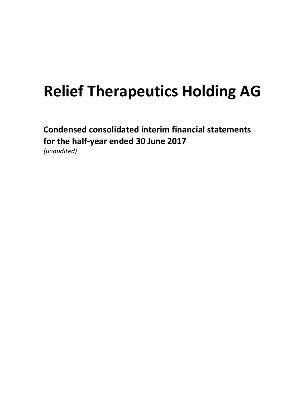Condensed consolidated interim financial statements for the half-year ended 30 June 2017

(unaudited)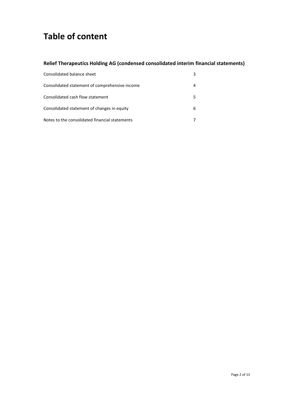## Table of content

### Relief Therapeutics Holding AG (condensed consolidated interim financial statements)

| Consolidated balance sheet                     |   |
|------------------------------------------------|---|
| Consolidated statement of comprehensive income |   |
| Consolidated cash flow statement               |   |
| Consolidated statement of changes in equity    | 6 |
| Notes to the consolidated financial statements |   |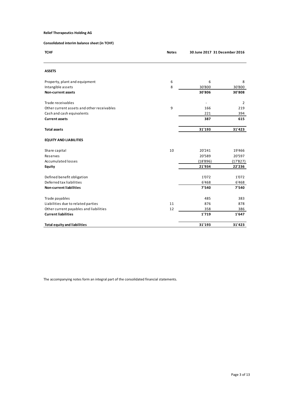| <b>Relief Therapeutics Holding AG</b>        |              |                               |                    |
|----------------------------------------------|--------------|-------------------------------|--------------------|
|                                              |              |                               |                    |
| Consolidated interim balance sheet (in TCHF) |              |                               |                    |
| <b>TCHF</b>                                  | <b>Notes</b> | 30 June 2017 31 December 2016 |                    |
|                                              |              |                               |                    |
|                                              |              |                               |                    |
| <b>ASSETS</b>                                |              |                               |                    |
|                                              |              |                               |                    |
| Property, plant and equipment                | $\sqrt{6}$   | 6                             | 8                  |
| Intangible assets                            | 8            | 30'800                        | 30'800             |
| Non-current assets                           |              | 30'806                        | 30'808             |
| Trade receivables                            |              | ٠                             | $\overline{2}$     |
| Other current assets and other receivables   | 9            | 166                           | 219                |
| Cash and cash equivalents                    |              | 221                           | 394                |
| <b>Current assets</b>                        |              | 387                           | 615                |
|                                              |              |                               |                    |
| <b>Total assets</b>                          |              | 31'193                        | 31'423             |
| <b>EQUITY AND LIABILITIES</b>                |              |                               |                    |
|                                              |              |                               |                    |
| Share capital                                | $10\,$       | 20'241                        | 19'466             |
| Reserves<br>Accumulated losses               |              | 20'589<br>(18'896)            | 20'597<br>(17'827) |
| Equity                                       |              | 21'934                        | 22'236             |
|                                              |              |                               |                    |
| Defined benefit obligation                   |              | 1'072                         | 1'072              |
| Deferred tax liabilities                     |              | 6'468                         | 6'468              |
| Non-current liabilities                      |              | 7'540                         | 7'540              |
| Trade payables                               |              | 485                           | 383                |
| Liabilities due to related parties           | $11\,$       | 876                           | 878                |
| Other current payables and liabilities       | 12           | 358                           | 386                |
| <b>Current liabilities</b>                   |              | 1'719                         | 1'647              |
|                                              |              |                               | 31'423             |
| <b>Total equity and liabilities</b>          |              | 31'193                        |                    |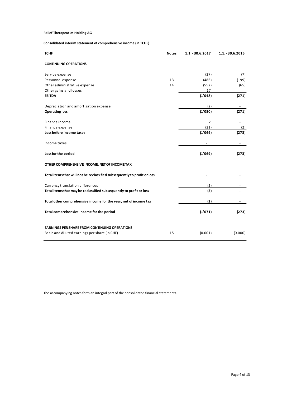#### Consolidated interim statement of comprehensive income (in TCHF)

| <b>Relief Therapeutics Holding AG</b>                                    |              |                  |                  |
|--------------------------------------------------------------------------|--------------|------------------|------------------|
| Consolidated interim statement of comprehensive income (in TCHF)         |              |                  |                  |
|                                                                          |              |                  |                  |
| <b>TCHF</b>                                                              | <b>Notes</b> | 1.1. - 30.6.2017 | 1.1. - 30.6.2016 |
| <b>CONTINUING OPERATIONS</b>                                             |              |                  |                  |
| Service expense                                                          |              | (27)             | (7)              |
| Personnel expense                                                        | 13           | (486)            | (199)            |
| Other administrative expense                                             | 14           | (552)            | (65)             |
| Other gains and losses<br><b>EBITDA</b>                                  |              | 17<br>(1'048)    | (271)            |
|                                                                          |              |                  |                  |
| Depreciation and amortisation expense<br><b>Operating loss</b>           |              | (2)<br>(1'050)   | $\sim$<br>(271)  |
|                                                                          |              |                  |                  |
| Finance income                                                           |              | $\overline{2}$   |                  |
| Finance expense<br>Loss before income taxes                              |              | (21)<br>(1'069)  | (2)<br>(273)     |
|                                                                          |              |                  |                  |
| Income taxes                                                             |              |                  |                  |
| Loss for the period                                                      |              | (1'069)          | (273)            |
|                                                                          |              |                  |                  |
| OTHER COMPREHENSIVE INCOME, NET OF INCOME TAX                            |              |                  |                  |
| Total items that will not be reclassified subsequently to profit or loss |              |                  |                  |
| Currency translation differences                                         |              | (2)              |                  |
| Total items that may be reclassified subsequently to profit or loss      |              | (2)              |                  |
| Total other comprehensive income for the year, net of income tax         |              | (2)              |                  |
|                                                                          |              |                  |                  |
| Total comprehensive income for the period                                |              | (1'071)          | (273)            |
|                                                                          |              |                  |                  |
| EARNINGS PER SHARE FROM CONTINUING OPERATIONS                            |              |                  | (0.000)          |
| Basic and diluted earnings per share (in CHF)                            | 15           | (0.001)          |                  |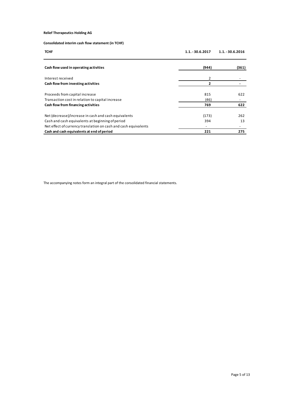#### Consolidated interim cash flow statement (in TCHF)

| <b>Relief Therapeutics Holding AG</b>                                                                    |                                  |                  |
|----------------------------------------------------------------------------------------------------------|----------------------------------|------------------|
|                                                                                                          |                                  |                  |
| Consolidated interim cash flow statement (in TCHF)                                                       |                                  |                  |
| <b>TCHF</b>                                                                                              | 1.1. - 30.6.2017                 | 1.1. - 30.6.2016 |
|                                                                                                          |                                  |                  |
| Cash flow used in operating activities                                                                   | (944)                            | (361)            |
|                                                                                                          |                                  |                  |
| Interest received                                                                                        | $\overline{2}$<br>$\overline{2}$ | $\sim$<br>$\sim$ |
|                                                                                                          |                                  |                  |
| Cash flow from investing activities                                                                      |                                  |                  |
| Proceeds from capital increase                                                                           | 815                              | 622              |
| Transaction cost in relation to capital increase                                                         | (46)                             | $\sim$           |
| Cash flow from financing activities                                                                      | 769                              | 622              |
|                                                                                                          |                                  | 262              |
| Net (decrease)/increase in cash and cash equivalents<br>Cash and cash equivalents at beginning of period | (173)<br>394                     | 13               |
| Net effect of currency translation on cash and cash equivalents                                          | $\sim$                           | $\sim$           |
| Cash and cash equivalents at end of period                                                               | 221                              | 275              |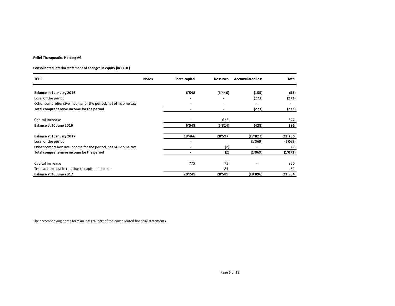#### Consolidated interim statement of changes in equity (in TCHF)

| <b>Relief Therapeutics Holding AG</b>                                               |              |                                    |                             |                         |                |
|-------------------------------------------------------------------------------------|--------------|------------------------------------|-----------------------------|-------------------------|----------------|
| Consolidated interim statement of changes in equity (in TCHF)                       |              |                                    |                             |                         |                |
| <b>TCHF</b>                                                                         | <b>Notes</b> | Share capital                      | Reserves                    | <b>Accumulated loss</b> | Total          |
| Balance at 1 January 2016                                                           |              | 6'548                              | (6'446)                     | (155)                   | (53)           |
|                                                                                     |              |                                    |                             |                         | (273)          |
|                                                                                     |              | $\blacksquare$                     | $\sim$                      |                         |                |
| Loss for the period<br>Other comprehensive income for the period, net of income tax |              | $\sim$                             | $\mathcal{L}_{\mathcal{A}}$ | (273)<br>$\sim$         | $\sim$         |
| Total comprehensive income for the period                                           |              | $\sim$                             | $\sim$                      | (273)                   | (273)          |
|                                                                                     |              | $\blacksquare$                     |                             |                         |                |
| Capital increase<br>Balance at 30 June 2016                                         |              | 6'548                              | 622<br>(5'824)              | (428)                   | 622<br>296     |
|                                                                                     |              |                                    |                             |                         |                |
| Balance at 1 January 2017                                                           |              | 19'466<br>$\overline{\phantom{a}}$ | 20'597                      | (17'827)                | 22'236         |
| Loss for the period<br>Other comprehensive income for the period, net of income tax |              | $\sim$                             | (2)                         | (1'069)<br>$\sim$       | (1'069)<br>(2) |
| Total comprehensive income for the period                                           |              | $\sim$                             | (2)                         | (1'069)                 | (1'071)        |
|                                                                                     |              |                                    |                             | $\sim$                  |                |
| Capital increase<br>Transaction cost in relation to capital increase                |              | 775                                | 75<br>$-81$                 |                         | 850<br>$-81$   |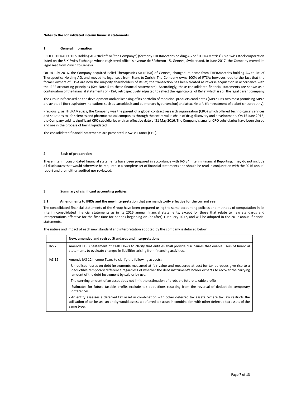#### Notes to the consolidated interim financial statements

#### 1 General information

RELIEF THERAPEUTICS Holding AG ("Relief" or "the Company") (formerly THERAMetrics holding AG or "THERAMetrics") is a Swiss stock corporation listed on the SIX Swiss Exchange whose registered office is avenue de Sécheron 15, Geneva, Switzerland. In June 2017, the Company moved its legal seat from Zurich to Geneva.

On 14 July 2016, the Company acquired Relief Therapeutics SA (RTSA) of Geneva, changed its name from THERAMetrics holding AG to Relief Therapeutics Holding AG, and moved its legal seat from Stans to Zurich. The Company owns 100% of RTSA; however, due to the fact that the former owners of RTSA are now the majority shareholders of Relief, the transaction has been treated as reverse acquisition in accordance with the IFRS accounting principles (See Note 5 to these financial statements). Accordingly, these consolidated financial statements are shown as a continuation of the financial statements of RTSA, retrospectively adjusted to reflect the legal capital of Relief which is still the legal parent company.

The Group is focussed on the development and/or licensing of its portfolio of medicinal products candidates (MPCs). Its two most promising MPCs are aviptadil (for respiratory indications such as sarcoidosis and pulmonary hypertension) and atexakin alfa (for treatment of diabetic neuropathy).

Previously, as THERAMetrics, the Company was the parent of a global contract research organization (CRO) which offered technological services and solutions to life sciences and pharmaceutical companies through the entire value chain of drug discovery and development. On 15 June 2016, the Company sold its significant CRO subsidiaries with an effective date of 31 May 2016. The Company's smaller CRO subsidiaries have been closed and are in the process of being liquidated.

The consolidated financial statements are presented in Swiss Francs (CHF).

#### 2 Basis of preparation

These interim consolidated financial statements have been prepared in accordance with IAS 34 Interim Financial Reporting. They do not include all disclosures that would otherwise be required in a complete set of financial statements and should be read in conjunction with the 2016 annual report and are neither audited nor reviewed.

#### 3 Summary of significant accounting policies

#### 3.1 Amendments to IFRSs and the new Interpretation that are mandatorily effective for the current year

The consolidated financial statements of the Group have been prepared using the same accounting policies and methods of computation in its interim consolidated financial statements as in its 2016 annual financial statements, except for those that relate to new standards and interpretations effective for the first time for periods beginning on (or after) 1 January 2017, and will be adopted in the 2017 annual financial statements.

The nature and impact of each new standard and interpretation adopted by the company is detailed below.

|                  | New, amended and revised Standards and Interpretations                                                                                                                                                                                                                                        |
|------------------|-----------------------------------------------------------------------------------------------------------------------------------------------------------------------------------------------------------------------------------------------------------------------------------------------|
| IAS <sub>7</sub> | Amends IAS 7 Statement of Cash Flows to clarify that entities shall provide disclosures that enable users of financial<br>statements to evaluate changes in liabilities arising from financing activities.                                                                                    |
| <b>IAS 12</b>    | Amends IAS 12 Income Taxes to clarify the following aspects:                                                                                                                                                                                                                                  |
|                  | - Unrealised losses on debt instruments measured at fair value and measured at cost for tax purposes give rise to a<br>deductible temporary difference regardless of whether the debt instrument's holder expects to recover the carrying<br>amount of the debt instrument by sale or by use. |
|                  | - The carrying amount of an asset does not limit the estimation of probable future taxable profits.                                                                                                                                                                                           |
|                  | - Estimates for future taxable profits exclude tax deductions resulting from the reversal of deductible temporary<br>differences.                                                                                                                                                             |
|                  | - An entity assesses a deferred tax asset in combination with other deferred tax assets. Where tax law restricts the<br>utilisation of tax losses, an entity would assess a deferred tax asset in combination with other deferred tax assets of the<br>same type.                             |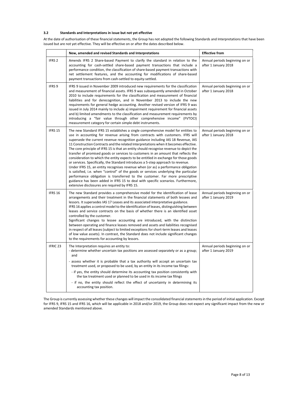#### 3.2 Standards and Interpretations in issue but not yet effective

At the date of authorisation of these financial statements, the Group has not adopted the following Standards and Interpretations that have been issued but are not yet effective. They will be effective on or after the dates described below.

|                   | New, amended and revised Standards and Interpretations                                                                                                                                                                                                                                                                                                                                                                                                                                                                                                                                                                                                                                                                                                                                                                                                                                                                                                                                                                                                                                                         | <b>Effective from</b>                                  |
|-------------------|----------------------------------------------------------------------------------------------------------------------------------------------------------------------------------------------------------------------------------------------------------------------------------------------------------------------------------------------------------------------------------------------------------------------------------------------------------------------------------------------------------------------------------------------------------------------------------------------------------------------------------------------------------------------------------------------------------------------------------------------------------------------------------------------------------------------------------------------------------------------------------------------------------------------------------------------------------------------------------------------------------------------------------------------------------------------------------------------------------------|--------------------------------------------------------|
| IFRS <sub>2</sub> | Amends IFRS 2 Share-based Payment to clarify the standard in relation to the<br>accounting for cash-settled share-based payment transactions that include a<br>performance condition, the classification of share-based payment transactions with<br>net settlement features, and the accounting for modifications of share-based<br>payment transactions from cash-settled to equity-settled.                                                                                                                                                                                                                                                                                                                                                                                                                                                                                                                                                                                                                                                                                                                 | Annual periods beginning on or<br>after 1 January 2018 |
| IFRS 9            | IFRS 9 issued in November 2009 introduced new requirements for the classification<br>and measurement of financial assets. IFRS 9 was subsequently amended in October<br>2010 to include requirements for the classification and measurement of financial<br>liabilities and for derecognition, and in November 2013 to include the new<br>requirements for general hedge accounting. Another revised version of IFRS 9 was<br>issued in July 2014 mainly to include a) impairment requirement for financial assets<br>and b) limited amendments to the classification and measurement requirements by<br>introducing a "fair value through other comprehensive income" (FVTOCI)<br>measurement category for certain simple debt instruments.                                                                                                                                                                                                                                                                                                                                                                   | Annual periods beginning on or<br>after 1 January 2018 |
| IFRS 15           | The new Standard IFRS 15 establishes a single comprehensive model for entities to<br>use in accounting for revenue arising from contracts with customers. IFRS will<br>supersede the current revenue recognition guidance including IAS 18 Revenue, IAS<br>11 Construction Contracts and the related Interpretations when it becomes effective.<br>The core principle of IFRS 15 is that an entity should recognise revenue to depict the<br>transfer of promised goods or services to customers in an amount that reflects the<br>consideration to which the entity expects to be entitled in exchange for those goods<br>or services. Specifically, the Standard introduces a 5-step approach to revenue.<br>Under IFRS 15, an entity recognises revenue when (or as) a performance obligation<br>is satisfied, i.e. when "control" of the goods or services underlying the particular<br>performance obligation is transferred to the customer. Far more prescriptive<br>guidance has been added in IFRS 15 to deal with specific scenarios. Furthermore,<br>extensive disclosures are required by IFRS 15. | Annual periods beginning on or<br>after 1 January 2018 |
| IFRS 16           | The new Standard provides a comprehensive model for the identification of lease<br>arrangements and their treatment in the financial statements of both lessees and<br>lessors. It supersedes IAS 17 Leases and its associated interpretative guidance.<br>IFRS 16 applies a control model to the identification of leases, distinguishing between<br>leases and service contracts on the basis of whether there is an identified asset<br>controlled by the customer.<br>Significant changes to lessee accounting are introduced, with the distinction<br>between operating and finance leases removed and assets and liabilities recognised<br>in respect of all leases (subject to limited exceptions for short-term leases and leases<br>of low value assets). In contrast, the Standard does not include significant changes<br>to the requirements for accounting by lessors.                                                                                                                                                                                                                            | Annual periods beginning on or<br>after 1 January 2019 |
| IFRIC 23          | The Interpretation requires an entity to:<br>- determine whether uncertain tax positions are assessed separately or as a group;<br>and<br>- assess whether it is probable that a tax authority will accept an uncertain tax<br>treatment used, or proposed to be used, by an entity in its income tax filings:<br>- if yes, the entity should determine its accounting tax position consistently with<br>the tax treatment used or planned to be used in its income tax filings<br>- if no, the entity should reflect the effect of uncertainty in determining its<br>accounting tax position.                                                                                                                                                                                                                                                                                                                                                                                                                                                                                                                 | Annual periods beginning on or<br>after 1 January 2019 |

The Group is currently assessing whether these changes will impact the consolidated financial statements in the period of initial application. Except for IFRS 9, IFRS 15 and IFRS 16, which will be applicable in 2018 and/or 2019, the Group does not expect any significant impact from the new or amended Standards mentioned above.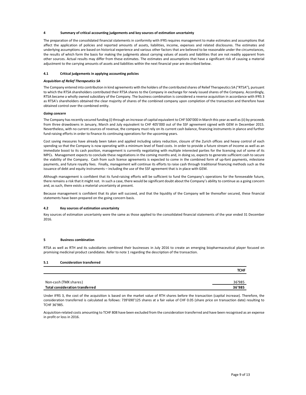#### Summary of critical accounting judgements and key sources of estimation uncertainty

The preparation of the consolidated financial statements in conformity with IFRS requires management to make estimates and assumptions that affect the application of policies and reported amounts of assets, liabilities, income, expenses and related disclosures. The estimates and underlying assumptions are based on historical experience and various other factors that are believed to be reasonable under the circumstances, the results of which form the basis for making the judgments about carrying values of assets and liabilities that are not readily apparent from other sources. Actual results may differ from these estimates. The estimates and assumptions that have a significant risk of causing a material adjustment to the carrying amounts of assets and liabilities within the next financial year are described below.

#### 4.1 Critical judgements in applying accounting policies

#### Acquisition of Relief Therapeutics SA

The Company entered into contribution in kind agreements with the holders of the contributed shares of Relief Therapeutics SA ("RTSA"), pursuant to which the RTSA shareholders contributed their RTSA shares to the Company in exchange for newly issued shares of the Company. Accordingly, RTSA became a wholly owned subsidiary of the Company. The business combination is considered a reverse acquisition in accordance with IFRS 3 as RTSA's shareholders obtained the clear majority of shares of the combined company upon completion of the transaction and therefore have obtained control over the combined entity.

#### Going concern

The Company has recently secured funding (i) through an increase of capital equivalent to CHF 500'000 in March this year as well as (ii) by proceeds from three drawdowns in January, March and July equivalent to CHF 405'000 out of the SSF agreement signed with GEM in December 2015. Nevertheless, with no current sources of revenue, the company must rely on its current cash balance, financing instruments in plance and further fund-raising efforts in order to finance its continuing operations for the upcoming years.

Cost saving measures have already been taken and applied including salary reduction, closure of the Zurich offices and heavy control of each spending so that the Company is now operating with a minimum level of fixed costs. In order to provide a future stream of income as well as an immediate boost to its cash position, management is currently negotiating with multiple interested parties for the licensing out of some of its MPCs. Management expects to conclude these negotiations in the coming months and, in doing so, expects to generate sufficient cash to secure the viability of the Company. Cash from such license agreements is expected to come in the combined form of up-font payments, milestone payments, and future royalty fees. Finally, management will continue its efforts to raise cash through traditional financing methods such as the issuance of debt and equity instruments – including the use of the SSF agreement that is in place with GEM.

#### 4.2 Key sources of estimation uncertainty

#### 5 Business combination

#### 5.1 Consideration transferred

|              | ויה כא. ההמהמךכהוכה כאףככנא נט כטהכוממכ נהכאכ הכךטנומנוטהא וה נהכ כטההוך והטהנהא מהמן זה מטוחך אטן כאףככנא נט ךכווכו מנכ אמוחכוכות כמאה נט אכז<br>the viability of the Company. Cash from such license agreements is expected to come in the combined form of up-font payments, milestone<br>payments, and future royalty fees. Finally, management will continue its efforts to raise cash through traditional financing methods such as the<br>issuance of debt and equity instruments – including the use of the SSF agreement that is in place with GEM. |             |  |
|--------------|--------------------------------------------------------------------------------------------------------------------------------------------------------------------------------------------------------------------------------------------------------------------------------------------------------------------------------------------------------------------------------------------------------------------------------------------------------------------------------------------------------------------------------------------------------------|-------------|--|
|              | Although management is confident that its fund-raising efforts will be sufficient to fund the Company's operations for the foreseeable future,<br>there remains a risk that it might not. In such a case, there would be significant doubt about the Company's ability to continue as a going concern<br>and, as such, there exists a material uncertainty at present.                                                                                                                                                                                       |             |  |
|              | Because management is confident that its plan will succeed, and that the liquidity of the Company will be thereafter secured, these financial<br>statements have been prepared on the going concern basis.                                                                                                                                                                                                                                                                                                                                                   |             |  |
| 4.2          | Key sources of estimation uncertainty                                                                                                                                                                                                                                                                                                                                                                                                                                                                                                                        |             |  |
| 2016.        | Key sources of estimation uncertainty were the same as those applied to the consolidated financial statements of the year ended 31 December                                                                                                                                                                                                                                                                                                                                                                                                                  |             |  |
|              |                                                                                                                                                                                                                                                                                                                                                                                                                                                                                                                                                              |             |  |
|              | <b>Business combination</b>                                                                                                                                                                                                                                                                                                                                                                                                                                                                                                                                  |             |  |
|              | RTSA as well as RTH and its subsidiaries combined their businesses in July 2016 to create an emerging biopharmaceutical player focused on<br>promising medicinal product candidates. Refer to note 1 regarding the description of the transaction.                                                                                                                                                                                                                                                                                                           |             |  |
| 5.1          | <b>Consideration transferred</b>                                                                                                                                                                                                                                                                                                                                                                                                                                                                                                                             |             |  |
|              |                                                                                                                                                                                                                                                                                                                                                                                                                                                                                                                                                              | <b>TCHF</b> |  |
|              | Non-cash (TMX shares)                                                                                                                                                                                                                                                                                                                                                                                                                                                                                                                                        | 36'985      |  |
|              | <b>Total consideration transferred</b>                                                                                                                                                                                                                                                                                                                                                                                                                                                                                                                       | 36'985      |  |
| TCHF 36'985. | Under IFRS 3, the cost of the acquisition is based on the market value of RTH shares before the transaction (capital increase). Therefore, the<br>consideration transferred is calculated as follows: 739'690'125 shares at a fair value of CHF 0.05 (share price on transaction date) resulting to                                                                                                                                                                                                                                                          |             |  |
|              | Acquisition-related costs amounting to TCHF 808 have been excluded from the consideration transferred and have been recognised as an expense<br>in profit or loss in 2016.                                                                                                                                                                                                                                                                                                                                                                                   |             |  |
|              |                                                                                                                                                                                                                                                                                                                                                                                                                                                                                                                                                              |             |  |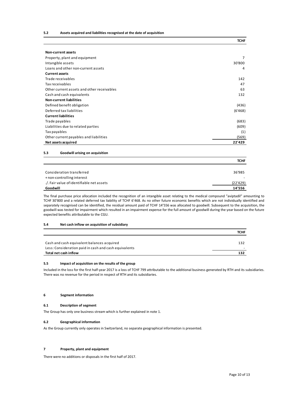| 5.2<br>Assets acquired and liabilities recognised at the date of acquisition                                                                                                                                                                                                                                                                                                                                                                                                                                                                                                                                                                      |             |
|---------------------------------------------------------------------------------------------------------------------------------------------------------------------------------------------------------------------------------------------------------------------------------------------------------------------------------------------------------------------------------------------------------------------------------------------------------------------------------------------------------------------------------------------------------------------------------------------------------------------------------------------------|-------------|
|                                                                                                                                                                                                                                                                                                                                                                                                                                                                                                                                                                                                                                                   | <b>TCHF</b> |
|                                                                                                                                                                                                                                                                                                                                                                                                                                                                                                                                                                                                                                                   |             |
| Non-current assets<br>Property, plant and equipment                                                                                                                                                                                                                                                                                                                                                                                                                                                                                                                                                                                               | 7           |
| Intangible assets                                                                                                                                                                                                                                                                                                                                                                                                                                                                                                                                                                                                                                 | 30'800      |
| Loans and other non-current assets                                                                                                                                                                                                                                                                                                                                                                                                                                                                                                                                                                                                                | 4           |
| <b>Current assets</b>                                                                                                                                                                                                                                                                                                                                                                                                                                                                                                                                                                                                                             |             |
| Trade receivables                                                                                                                                                                                                                                                                                                                                                                                                                                                                                                                                                                                                                                 | 142         |
| Tax receivables                                                                                                                                                                                                                                                                                                                                                                                                                                                                                                                                                                                                                                   | 47          |
| Other current assets and other receivables                                                                                                                                                                                                                                                                                                                                                                                                                                                                                                                                                                                                        | 63          |
| Cash and cash equivalents<br><b>Non-current liabilities</b>                                                                                                                                                                                                                                                                                                                                                                                                                                                                                                                                                                                       | 132         |
| Defined benefit obligation                                                                                                                                                                                                                                                                                                                                                                                                                                                                                                                                                                                                                        | (436)       |
| Deferred tax liabilities                                                                                                                                                                                                                                                                                                                                                                                                                                                                                                                                                                                                                          | (6'468)     |
| <b>Current liabilities</b>                                                                                                                                                                                                                                                                                                                                                                                                                                                                                                                                                                                                                        |             |
| Trade payables                                                                                                                                                                                                                                                                                                                                                                                                                                                                                                                                                                                                                                    | (683)       |
| Liabilities due to related parties                                                                                                                                                                                                                                                                                                                                                                                                                                                                                                                                                                                                                | (609)       |
| Tax payables                                                                                                                                                                                                                                                                                                                                                                                                                                                                                                                                                                                                                                      | (1)         |
| Other current payables and liabilities                                                                                                                                                                                                                                                                                                                                                                                                                                                                                                                                                                                                            | (569)       |
| Net assets acquired                                                                                                                                                                                                                                                                                                                                                                                                                                                                                                                                                                                                                               | 22'429      |
| 5.3<br>Goodwill arising on acquisition                                                                                                                                                                                                                                                                                                                                                                                                                                                                                                                                                                                                            |             |
|                                                                                                                                                                                                                                                                                                                                                                                                                                                                                                                                                                                                                                                   | <b>TCHF</b> |
|                                                                                                                                                                                                                                                                                                                                                                                                                                                                                                                                                                                                                                                   |             |
| Consideration transferred                                                                                                                                                                                                                                                                                                                                                                                                                                                                                                                                                                                                                         | 36'985      |
| + non-controlling interest                                                                                                                                                                                                                                                                                                                                                                                                                                                                                                                                                                                                                        |             |
| ./. Fair value of identifiable net assets                                                                                                                                                                                                                                                                                                                                                                                                                                                                                                                                                                                                         | (22'429)    |
| Goodwill                                                                                                                                                                                                                                                                                                                                                                                                                                                                                                                                                                                                                                          | 14'556      |
| The final purchase price allocation included the recognition of an intangible asset relating to the medical compound "aviptadil" amounting to<br>TCHF 30'800 and a related deferred tax liability of TCHF 6'468. As no other future economic benefits which are not individually identified and<br>separately recognised can be identified, the residual amount paid of TCHF 14'556 was allocated to goodwill. Subsequent to the acquisition, the<br>goodwill was tested for impairment which resulted in an impairment expense for the full amount of goodwill during the year based on the future<br>expected benefits attributable to the CGU. |             |
| 5.4<br>Net cash inflow on acquisition of subsidiary                                                                                                                                                                                                                                                                                                                                                                                                                                                                                                                                                                                               |             |
|                                                                                                                                                                                                                                                                                                                                                                                                                                                                                                                                                                                                                                                   | <b>TCHF</b> |
| Cash and cash equivalent balances acquired                                                                                                                                                                                                                                                                                                                                                                                                                                                                                                                                                                                                        | 132         |
| Less: Consideration paid in cash and cash equivalents                                                                                                                                                                                                                                                                                                                                                                                                                                                                                                                                                                                             |             |
|                                                                                                                                                                                                                                                                                                                                                                                                                                                                                                                                                                                                                                                   |             |

#### 5.3 Goodwill arising on acquisition

|                                           | <b>TCHF</b>              |
|-------------------------------------------|--------------------------|
|                                           |                          |
| Consideration transferred                 | 36'985                   |
| + non-controlling interest                | $\overline{\phantom{0}}$ |
| ./. Fair value of identifiable net assets | (22'429)                 |
| Goodwill                                  | 14'556                   |

#### 5.4 Net cash inflow on acquisition of subsidiary

|                                                       | <b>TCHF</b> |
|-------------------------------------------------------|-------------|
|                                                       |             |
| Cash and cash equivalent balances acquired            | 132         |
| Less: Consideration paid in cash and cash equivalents |             |
| Total net cash inflow                                 | 132         |

#### 5.5 Impact of acquisition on the results of the group

#### 6 Segment information

#### 6.1 Description of segment

The Group has only one business stream which is further explained in note 1.

#### 6.2 Geographical information

As the Group currently only operates in Switzerland, no separate geographical information is presented.

#### 7 Property, plant and equipment

There were no additions or disposals in the first half of 2017.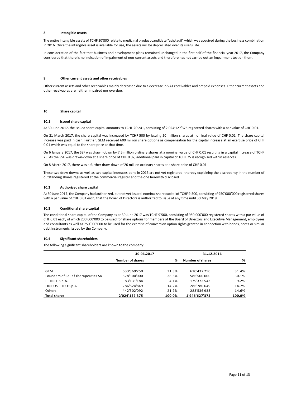#### 8 Intangible assets

The entire intangible assets of TCHF 30'800 relate to medicinal product candidate "aviptadil" which was acquired during the business combination in 2016. Once the intangible asset is available for use, the assets will be depreciated over its useful life.

In consideration of the fact that business and development plans remained unchanged in the first half of the financial year 2017, the Company considered that there is no indication of impairment of non-current assets and therefore has not carried out an impairment test on them.

#### 9 Other current assets and other receivables

Other current assets and other receivables mainly decreased due to a decrease in VAT receivables and prepaid expenses. Other current assets and other receivables are neither impaired nor overdue.

#### 10 Share capital

#### 10.1 Issued share capital

At 30 June 2017, the issued share capital amounts to TCHF 20'241, consisting of 2'024'127'375 registered shares with a par value of CHF 0.01.

On 21 March 2017, the share capital was increased by TCHF 500 by issuing 50 million shares at nominal value of CHF 0.01. The share capital increase was paid in cash. Further, GEM received 600 million share options as compensation for the capital increase at an exercise price of CHF 0.01 which was equal to the share price at that time.

#### 10.2 Authorized share capital

#### 10.3 Conditional share capital

#### 10.4 Significant shareholders

| On 6 January 2017, the SSF was drawn-down by 7.5 million ordinary shares at a nominal value of CHF 0.01 resulting in a capital increase of TCHF<br>75. As the SSF was drawn-down at a share price of CHF 0.02, additional paid in capital of TCHF 75 is recognised within reserves.                                                                                                                                                                |                         |       |                         |       |
|----------------------------------------------------------------------------------------------------------------------------------------------------------------------------------------------------------------------------------------------------------------------------------------------------------------------------------------------------------------------------------------------------------------------------------------------------|-------------------------|-------|-------------------------|-------|
| On 8 March 2017, there was a further draw-down of 20 million ordinary shares at a share price of CHF 0.01.                                                                                                                                                                                                                                                                                                                                         |                         |       |                         |       |
| These two draw-downs as well as two capital increases done in 2016 are not yet registered, thereby explaining the discrepancy in the number of<br>outstanding shares registered at the commercial register and the one herewith disclosed.                                                                                                                                                                                                         |                         |       |                         |       |
| Authorized share capital<br>10.2                                                                                                                                                                                                                                                                                                                                                                                                                   |                         |       |                         |       |
| At 30 June 2017, the Company had authorized, but not yet issued, nominal share capital of TCHF 9'500, consisting of 950'000'000 registered shares<br>with a par value of CHF 0.01 each, that the Board of Directors is authorized to issue at any time until 30 May 2019.                                                                                                                                                                          |                         |       |                         |       |
| <b>Conditional share capital</b><br>10.3                                                                                                                                                                                                                                                                                                                                                                                                           |                         |       |                         |       |
| The conditional share capital of the Company as at 30 June 2017 was TCHF 9'500, consisting of 950'000'000 registered shares with a par value of<br>CHF 0.01 each, of which 200'000'000 to be used for share options for members of the Board of Directors and Executive Management, employees<br>and consultants as well as 750'000'000 to be used for the exercise of conversion option rights granted in connection with bonds, notes or similar |                         |       |                         |       |
| debt instruments issued by the Company.<br><b>Significant shareholders</b><br>10.4<br>The following significant shareholders are known to the company:                                                                                                                                                                                                                                                                                             |                         |       |                         |       |
|                                                                                                                                                                                                                                                                                                                                                                                                                                                    | 30.06.2017              |       | 31.12.2016              |       |
|                                                                                                                                                                                                                                                                                                                                                                                                                                                    | <b>Number of shares</b> | %     | <b>Number of shares</b> | %     |
| GEM                                                                                                                                                                                                                                                                                                                                                                                                                                                | 633'369'250             | 31.3% | 610'437'250             | 31.4% |
| Founders of Relief Therapeutics SA                                                                                                                                                                                                                                                                                                                                                                                                                 | 578'300'000             | 28.6% | 586'500'000             | 30.1% |
| PIERREL S.p.A.                                                                                                                                                                                                                                                                                                                                                                                                                                     | 83'131'184              | 4.1%  | 179'372'543             | 9.2%  |
| FIN POSILLIPO S.p.A                                                                                                                                                                                                                                                                                                                                                                                                                                | 286'824'849             | 14.2% | 286'780'649             | 14.7% |
| Others<br><b>Total shares</b>                                                                                                                                                                                                                                                                                                                                                                                                                      | 442'502'092             | 21.9% | 283'536'933             | 14.6% |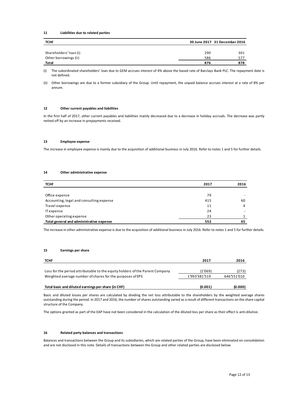#### 11 Liabilities due to related parties

| 11           | Liabilities due to related parties                                                                                                                     |     |                               |  |
|--------------|--------------------------------------------------------------------------------------------------------------------------------------------------------|-----|-------------------------------|--|
| <b>TCHF</b>  |                                                                                                                                                        |     | 30 June 2017 31 December 2016 |  |
|              | Shareholders' loan (i)                                                                                                                                 | 290 | 301                           |  |
|              | Other borrowings (ii)                                                                                                                                  | 586 | 577                           |  |
| <b>Total</b> |                                                                                                                                                        | 876 | 878                           |  |
| (i)          | The subordinated shareholders' loan due to GEM accrues interest of 4% above the based rate of Barclays Bank PLC. The repayment date is<br>not defined. |     |                               |  |
| (ii)         | Other borrowings are due to a former subsidiary of the Group. Until repayment, the unpaid balance accrues interest at a rate of 8% per<br>annum.       |     |                               |  |
|              |                                                                                                                                                        |     |                               |  |

#### 12 Other current payables and liabilities

#### 13 Employee expense

#### 14 Other administrative expense

| Other borrowings (ii)                                                                                                                                                                                                                                                                                                                                                                                                                                                                 | ၁၀၀                      | 311                  |
|---------------------------------------------------------------------------------------------------------------------------------------------------------------------------------------------------------------------------------------------------------------------------------------------------------------------------------------------------------------------------------------------------------------------------------------------------------------------------------------|--------------------------|----------------------|
| Total                                                                                                                                                                                                                                                                                                                                                                                                                                                                                 | 876                      | 878                  |
| The subordinated shareholders' loan due to GEM accrues interest of 4% above the based rate of Barclays Bank PLC. The repayment date is<br>(i)<br>not defined.                                                                                                                                                                                                                                                                                                                         |                          |                      |
| Other borrowings are due to a former subsidiary of the Group. Until repayment, the unpaid balance accrues interest at a rate of 8% per<br>(ii)<br>annum.                                                                                                                                                                                                                                                                                                                              |                          |                      |
| 12<br>Other current payables and liabilities                                                                                                                                                                                                                                                                                                                                                                                                                                          |                          |                      |
| In the first half of 2017, other current payables and liabilities mainly decreased due to a decrease in holiday accruals. The decrease was partly<br>netted off by an increase in prepayments received.                                                                                                                                                                                                                                                                               |                          |                      |
| 13<br><b>Employee expense</b>                                                                                                                                                                                                                                                                                                                                                                                                                                                         |                          |                      |
| The increase in employee expense is mainly due to the acquisition of additional business in July 2016. Refer to notes 1 and 5 for further details.                                                                                                                                                                                                                                                                                                                                    |                          |                      |
|                                                                                                                                                                                                                                                                                                                                                                                                                                                                                       |                          |                      |
| Other administrative expense<br>14                                                                                                                                                                                                                                                                                                                                                                                                                                                    |                          |                      |
| <b>TCHF</b>                                                                                                                                                                                                                                                                                                                                                                                                                                                                           | 2017                     | 2016                 |
| Office expense                                                                                                                                                                                                                                                                                                                                                                                                                                                                        | 79                       |                      |
| Accounting, legal and consulting expense                                                                                                                                                                                                                                                                                                                                                                                                                                              | 415                      | 60                   |
| Travel expense                                                                                                                                                                                                                                                                                                                                                                                                                                                                        | 11                       | 4                    |
| <b>ITexpense</b>                                                                                                                                                                                                                                                                                                                                                                                                                                                                      | 24                       |                      |
| Other operating expense                                                                                                                                                                                                                                                                                                                                                                                                                                                               | 23                       | $\mathbf{1}$         |
| Total general and administrative expense                                                                                                                                                                                                                                                                                                                                                                                                                                              | 552                      | 65                   |
| The increase in other administrative expense is due to the acquisition of additional business in July 2016. Refer to notes 1 and 5 for further details.<br>15<br><b>Earnings per share</b>                                                                                                                                                                                                                                                                                            |                          |                      |
| TCHF                                                                                                                                                                                                                                                                                                                                                                                                                                                                                  | 2017                     | 2016                 |
| Loss for the period attributable to the equity holders of the Parent Company<br>Weighted average number of shares for the purposes of EPS                                                                                                                                                                                                                                                                                                                                             | (1'069)<br>1'993'381'519 | (273)<br>646'551'010 |
| Total basic and diluted earnings per share (in CHF)                                                                                                                                                                                                                                                                                                                                                                                                                                   | (0.001)                  | (0.000)              |
| Basic and diluted losses per shares are calculated by dividing the net loss attributable to the shareholders by the weighted average shares<br>outstanding during the period. In 2017 and 2016, the number of shares outstanding varied as a result of different transactions on the share capital<br>structure of the Company.<br>The options granted as part of the EAP have not been considered in the calculation of the diluted loss per share as their effect is anti-dilutive. |                          |                      |
|                                                                                                                                                                                                                                                                                                                                                                                                                                                                                       |                          |                      |

#### 15 Earnings per share

| <b>TCHF</b>                                                                  | 2017           | 2016        |
|------------------------------------------------------------------------------|----------------|-------------|
| Loss for the period attributable to the equity holders of the Parent Company | (1'069)        | (273)       |
| Weighted average number of shares for the purposes of EPS                    | 1'993'381'519  | 646'551'010 |
| Total basic and diluted earnings nor share (in CHE)                          | <b>10 001)</b> | in nnn)     |

#### 16 Related party balances and transactions

Balances and transactions between the Group and its subsidiaries, which are related parties of the Group, have been eliminated on consolidation and are not disclosed in this note. Details of transactions between the Group and other related parties are disclosed below.